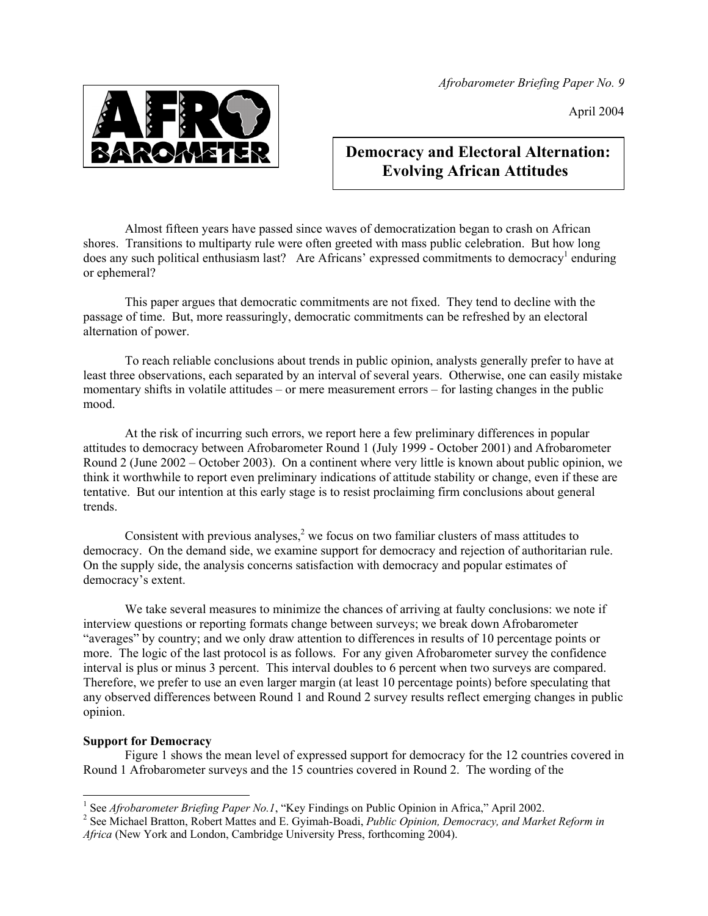*Afrobarometer Briefing Paper No. 9* 

April 2004



# **Democracy and Electoral Alternation: Evolving African Attitudes**

Almost fifteen years have passed since waves of democratization began to crash on African shores. Transitions to multiparty rule were often greeted with mass public celebration. But how long does any such political enthusiasm last? Are Africans' expressed commitments to democracy<sup>[1](#page-0-0)</sup> enduring or ephemeral?

This paper argues that democratic commitments are not fixed. They tend to decline with the passage of time. But, more reassuringly, democratic commitments can be refreshed by an electoral alternation of power.

To reach reliable conclusions about trends in public opinion, analysts generally prefer to have at least three observations, each separated by an interval of several years. Otherwise, one can easily mistake momentary shifts in volatile attitudes – or mere measurement errors – for lasting changes in the public mood.

At the risk of incurring such errors, we report here a few preliminary differences in popular attitudes to democracy between Afrobarometer Round 1 (July 1999 - October 2001) and Afrobarometer Round 2 (June 2002 – October 2003). On a continent where very little is known about public opinion, we think it worthwhile to report even preliminary indications of attitude stability or change, even if these are tentative. But our intention at this early stage is to resist proclaiming firm conclusions about general trends.

Consistent with previous analyses, $2$  we focus on two familiar clusters of mass attitudes to democracy. On the demand side, we examine support for democracy and rejection of authoritarian rule. On the supply side, the analysis concerns satisfaction with democracy and popular estimates of democracy's extent.

We take several measures to minimize the chances of arriving at faulty conclusions: we note if interview questions or reporting formats change between surveys; we break down Afrobarometer "averages" by country; and we only draw attention to differences in results of 10 percentage points or more. The logic of the last protocol is as follows. For any given Afrobarometer survey the confidence interval is plus or minus 3 percent. This interval doubles to 6 percent when two surveys are compared. Therefore, we prefer to use an even larger margin (at least 10 percentage points) before speculating that any observed differences between Round 1 and Round 2 survey results reflect emerging changes in public opinion.

# **Support for Democracy**

Figure 1 shows the mean level of expressed support for democracy for the 12 countries covered in Round 1 Afrobarometer surveys and the 15 countries covered in Round 2. The wording of the

<span id="page-0-0"></span><sup>|&</sup>lt;br>|<br>| <sup>1</sup> See *Afrobarometer Briefing Paper No.1*, "Key Findings on Public Opinion in Africa," April 2002.

<span id="page-0-1"></span><sup>&</sup>lt;sup>2</sup> See Michael Bratton, Robert Mattes and E. Gyimah-Boadi, *Public Opinion, Democracy, and Market Reform in Africa* (New York and London, Cambridge University Press, forthcoming 2004).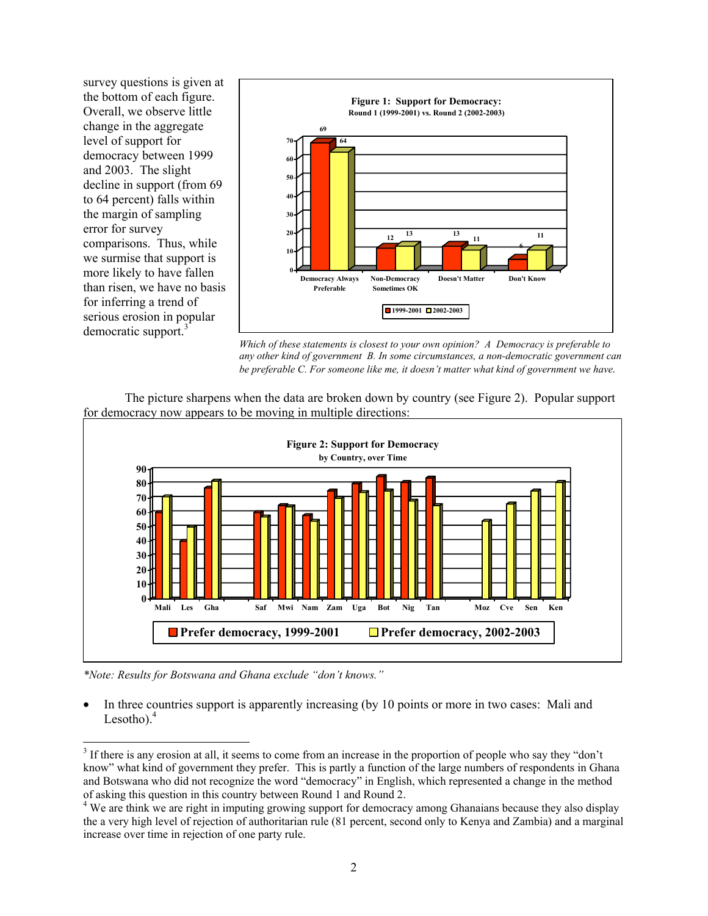survey questions is given at the bottom of each figure. Overall, we observe little change in the aggregate **69** level of support for democracy between 1999 and 2003. The slight decline in support (from 69 to 64 percent) falls within the margin of sampling error for survey comparisons. Thus, while we surmise that support is more likely to have fallen than risen, we have no basis for inferring a trend of serious erosion in popular democratic support.<sup>[3](#page-1-0)</sup>



*Which of these statements is closest to your own opinion? A Democracy is preferable to any other kind of government B. In some circumstances, a non-democratic government can be preferable C. For someone like me, it doesn't matter what kind of government we have.* 





*\*Note: Results for Botswana and Ghana exclude "don't knows."* 

• In three countries support is apparently increasing (by 10 points or more in two cases: Mali and Lesotho). $4$ 

<span id="page-1-0"></span><sup>&</sup>lt;sup>2</sup><br>3 <sup>3</sup> If there is any erosion at all, it seems to come from an increase in the proportion of people who say they "don't know" what kind of government they prefer. This is partly a function of the large numbers of respondents in Ghana and Botswana who did not recognize the word "democracy" in English, which represented a change in the method of asking this question in this country between Round 1 and Round 2. 4 We are think we are right in imputing growing support for democracy among Ghanaians because they also display

<span id="page-1-1"></span>the a very high level of rejection of authoritarian rule (81 percent, second only to Kenya and Zambia) and a marginal increase over time in rejection of one party rule.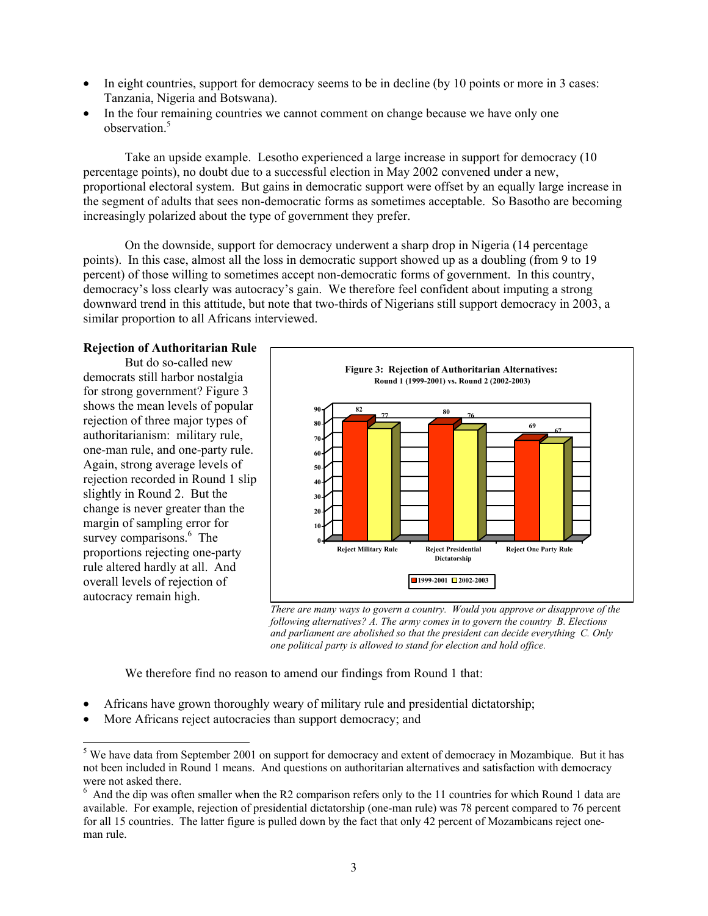- In eight countries, support for democracy seems to be in decline (by 10 points or more in 3 cases: Tanzania, Nigeria and Botswana).
- In the four remaining countries we cannot comment on change because we have only one observation.<sup>5</sup>

Take an upside example. Lesotho experienced a large increase in support for democracy (10 percentage points), no doubt due to a successful election in May 2002 convened under a new, proportional electoral system. But gains in democratic support were offset by an equally large increase in the segment of adults that sees non-democratic forms as sometimes acceptable. So Basotho are becoming increasingly polarized about the type of government they prefer.

On the downside, support for democracy underwent a sharp drop in Nigeria (14 percentage points). In this case, almost all the loss in democratic support showed up as a doubling (from 9 to 19 percent) of those willing to sometimes accept non-democratic forms of government. In this country, democracy's loss clearly was autocracy's gain. We therefore feel confident about imputing a strong downward trend in this attitude, but note that two-thirds of Nigerians still support democracy in 2003, a similar proportion to all Africans interviewed.

#### **Rejection of Authoritarian Rule**

But do so-called new democrats still harbor nostalgia for strong government? Figure 3 shows the mean levels of popular rejection of three major types of authoritarianism: military rule, one-man rule, and one-party rule. Again, strong average levels of rejection recorded in Round 1 slip slightly in Round 2. But the change is never greater than the margin of sampling error for surveycomparisons.<sup>6</sup> The proportions rejecting one-party rule altered hardly at all. And overall levels of rejection of autocracy remain high.



*There are many ways to govern a country. Would you approve or disapprove of the following alternatives? A. The army comes in to govern the country B. Elections and parliament are abolished so that the president can decide everything C. Only one political party is allowed to stand for election and hold office.* 

We therefore find no reason to amend our findings from Round 1 that:

- Africans have grown thoroughly weary of military rule and presidential dictatorship;
- More Africans reject autocracies than support democracy; and

<span id="page-2-0"></span><sup>&</sup>lt;sup>5</sup> We have data from September 2001 on support for democracy and extent of democracy in Mozambique. But it has not been included in Round 1 means. And questions on authoritarian alternatives and satisfaction with democracy were not asked there.

<span id="page-2-1"></span> $6$  And the dip was often smaller when the R2 comparison refers only to the 11 countries for which Round 1 data are available. For example, rejection of presidential dictatorship (one-man rule) was 78 percent compared to 76 percent for all 15 countries. The latter figure is pulled down by the fact that only 42 percent of Mozambicans reject oneman rule.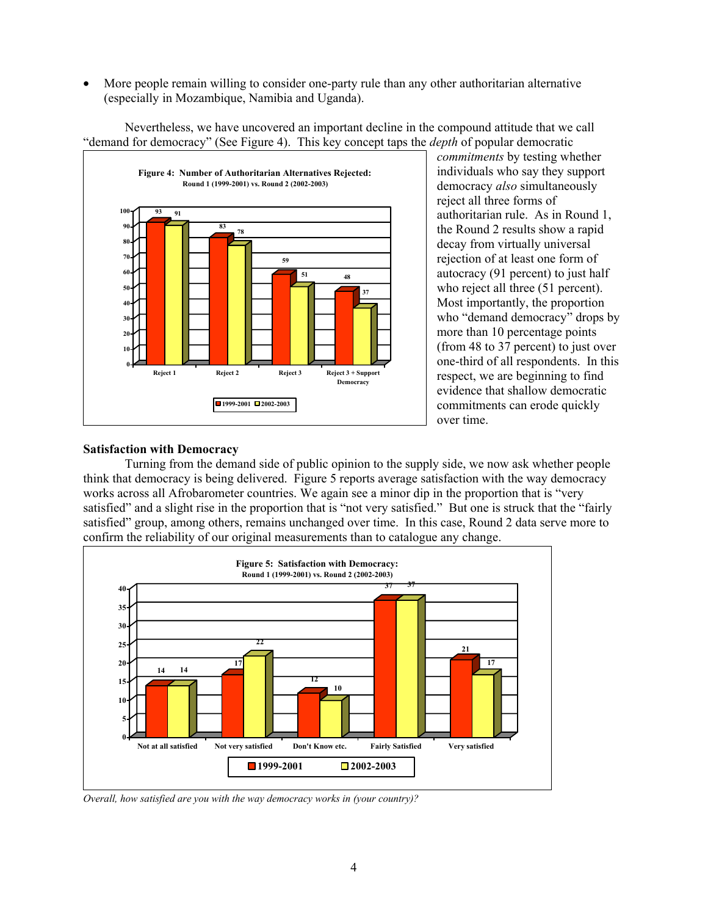• More people remain willing to consider one-party rule than any other authoritarian alternative (especially in Mozambique, Namibia and Uganda).



Nevertheless, we have uncovered an important decline in the compound attitude that we call "demand for democracy" (See Figure 4). This key concept taps the *depth* of popular democratic

*commitments* by testing whether individuals who say they support democracy *also* simultaneously reject all three forms of authoritarian rule. As in Round 1, the Round 2 results show a rapid decay from virtually universal rejection of at least one form of autocracy (91 percent) to just half who reject all three  $(51$  percent). Most importantly, the proportion who "demand democracy" drops by more than 10 percentage points (from 48 to 37 percent) to just over one-third of all respondents. In this respect, we are beginning to find evidence that shallow democratic commitments can erode quickly over time.

# **Satisfaction with Democracy**

Turning from the demand side of public opinion to the supply side, we now ask whether people think that democracy is being delivered. Figure 5 reports average satisfaction with the way democracy works across all Afrobarometer countries. We again see a minor dip in the proportion that is "very satisfied" and a slight rise in the proportion that is "not very satisfied." But one is struck that the "fairly satisfied" group, among others, remains unchanged over time. In this case, Round 2 data serve more to confirm the reliability of our original measurements than to catalogue any change.



*Overall, how satisfied are you with the way democracy works in (your country)?*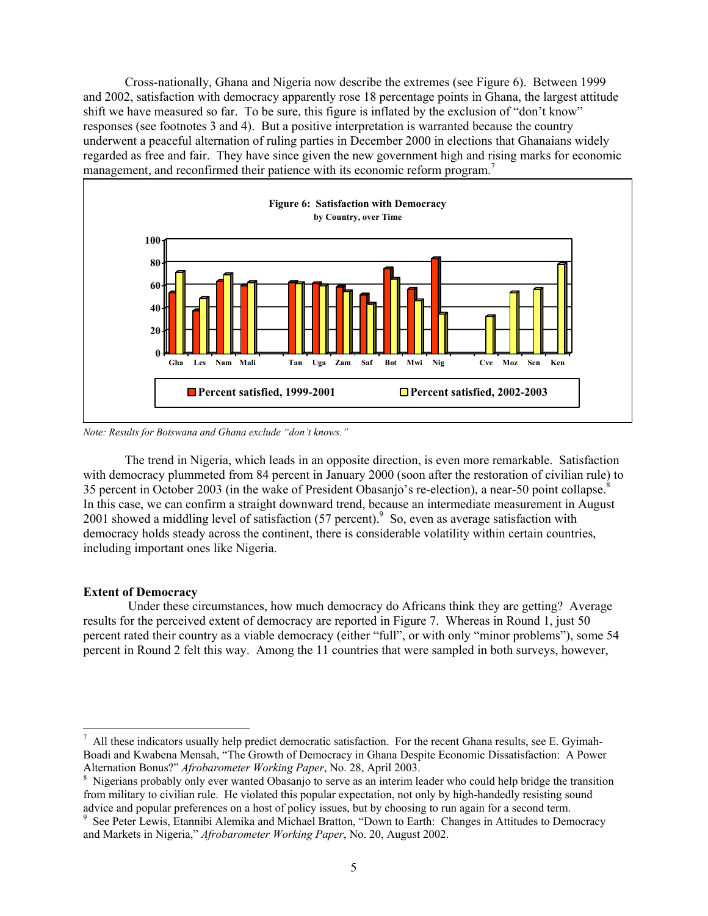Cross-nationally, Ghana and Nigeria now describe the extremes (see Figure 6). Between 1999 and 2002, satisfaction with democracy apparently rose 18 percentage points in Ghana, the largest attitude shift we have measured so far. To be sure, this figure is inflated by the exclusion of "don't know" responses (see footnotes 3 and 4). But a positive interpretation is warranted because the country underwent a peaceful alternation of ruling parties in December 2000 in elections that Ghanaians widely regarded as free and fair. They have since given the new government high and rising marks for economic management, and reconfirmed their patience with its economic reform program.<sup>7</sup>



*Note: Results for Botswana and Ghana exclude "don't knows."* 

The trend in Nigeria, which leads in an opposite direction, is even more remarkable. Satisfaction with democracy plummeted from 84 percent in January 2000 (soon after the restoration of civilian rule) to 35 percent in October 2003 (in the wake of President Obasanjo's re-election), a near-50 point collapse[.8](#page-4-1) In this case, we can confirm a straight downward trend, because an intermediate measurement in August 2001 showed a middling level of satisfaction  $(57 \text{ percent})$ . So, even as average satisfaction with democracy holds steady across the continent, there is considerable volatility within certain countries, including important ones like Nigeria.

# **Extent of Democracy**

 Under these circumstances, how much democracy do Africans think they are getting? Average results for the perceived extent of democracy are reported in Figure 7. Whereas in Round 1, just 50 percent rated their country as a viable democracy (either "full", or with only "minor problems"), some 54 percent in Round 2 felt this way. Among the 11 countries that were sampled in both surveys, however,

<span id="page-4-0"></span><sup>-&</sup>lt;br>7 All these indicators usually help predict democratic satisfaction. For the recent Ghana results, see E. Gyimah-Boadi and Kwabena Mensah, "The Growth of Democracy in Ghana Despite Economic Dissatisfaction: A Power Alternation Bonus?" *Afrobarometer Working Paper*, No. 28, April 2003. 8

<span id="page-4-1"></span><sup>&</sup>lt;sup>8</sup> Nigerians probably only ever wanted Obasanjo to serve as an interim leader who could help bridge the transition from military to civilian rule. He violated this popular expectation, not only by high-handedly resisting sound advice and popular preferences on a host of policy issues, but by choosing to run again for a second term.

<span id="page-4-2"></span>See Peter Lewis, Etannibi Alemika and Michael Bratton, "Down to Earth: Changes in Attitudes to Democracy and Markets in Nigeria," *Afrobarometer Working Paper*, No. 20, August 2002.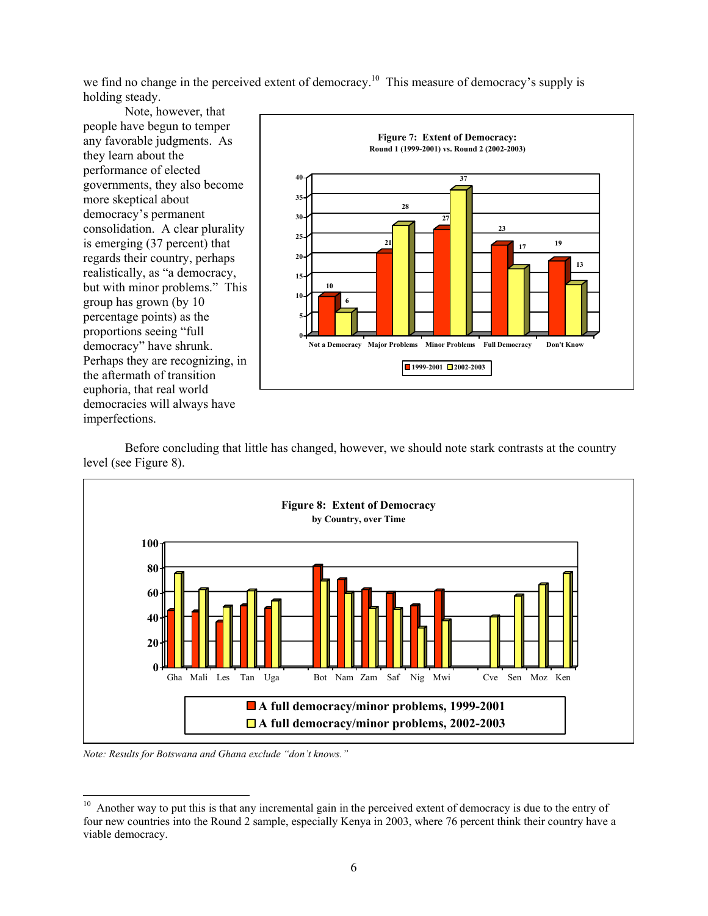we find no change in the perceived extent of democracy.<sup>10</sup> This measure of democracy's supply is holding steady.

Note, however, that people have begun to temper any favorable judgments. As they learn about the performance of elected governments, they also become more skeptical about democracy's permanent consolidation. A clear plurality is emerging (37 percent) that regards their country, perhaps realistically, as "a democracy, but with minor problems." This group has grown (by 10 percentage points) as the proportions seeing "full democracy" have shrunk. Perhaps they are recognizing, in the aftermath of transition euphoria, that real world democracies will always have imperfections.



Before concluding that little has changed, however, we should note stark contrasts at the country level (see Figure 8).



*Note: Results for Botswana and Ghana exclude "don't knows."* 

<span id="page-5-0"></span><sup>&</sup>lt;sup>10</sup> Another way to put this is that any incremental gain in the perceived extent of democracy is due to the entry of four new countries into the Round 2 sample, especially Kenya in 2003, where 76 percent think their country have a viable democracy.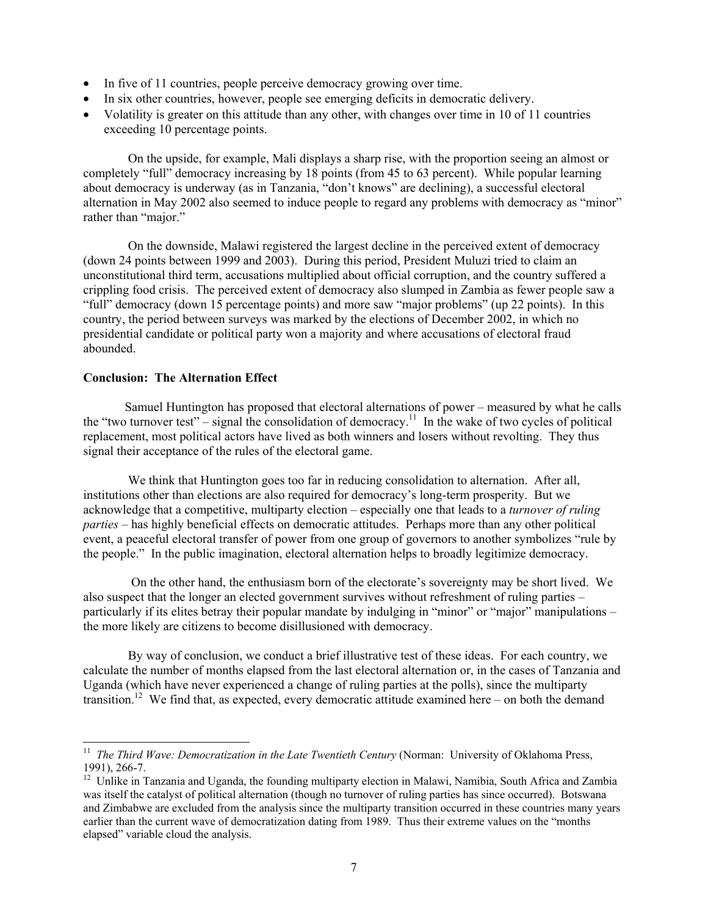- In five of 11 countries, people perceive democracy growing over time.
- In six other countries, however, people see emerging deficits in democratic delivery.
- Volatility is greater on this attitude than any other, with changes over time in 10 of 11 countries exceeding 10 percentage points.

 On the upside, for example, Mali displays a sharp rise, with the proportion seeing an almost or completely "full" democracy increasing by 18 points (from 45 to 63 percent). While popular learning about democracy is underway (as in Tanzania, "don't knows" are declining), a successful electoral alternation in May 2002 also seemed to induce people to regard any problems with democracy as "minor" rather than "major."

 On the downside, Malawi registered the largest decline in the perceived extent of democracy (down 24 points between 1999 and 2003). During this period, President Muluzi tried to claim an unconstitutional third term, accusations multiplied about official corruption, and the country suffered a crippling food crisis. The perceived extent of democracy also slumped in Zambia as fewer people saw a "full" democracy (down 15 percentage points) and more saw "major problems" (up 22 points). In this country, the period between surveys was marked by the elections of December 2002, in which no presidential candidate or political party won a majority and where accusations of electoral fraud abounded.

### **Conclusion: The Alternation Effect**

Samuel Huntington has proposed that electoral alternations of power – measured by what he calls the "two turnover test" – signal the consolidation of democracy.<sup>11</sup> In the wake of two cycles of political replacement, most political actors have lived as both winners and losers without revolting. They thus signal their acceptance of the rules of the electoral game.

We think that Huntington goes too far in reducing consolidation to alternation. After all, institutions other than elections are also required for democracy's long-term prosperity. But we acknowledge that a competitive, multiparty election – especially one that leads to a *turnover of ruling parties* – has highly beneficial effects on democratic attitudes. Perhaps more than any other political event, a peaceful electoral transfer of power from one group of governors to another symbolizes "rule by the people." In the public imagination, electoral alternation helps to broadly legitimize democracy.

 On the other hand, the enthusiasm born of the electorate's sovereignty may be short lived. We also suspect that the longer an elected government survives without refreshment of ruling parties – particularly if its elites betray their popular mandate by indulging in "minor" or "major" manipulations – the more likely are citizens to become disillusioned with democracy.

 By way of conclusion, we conduct a brief illustrative test of these ideas. For each country, we calculate the number of months elapsed from the last electoral alternation or, in the cases of Tanzania and Uganda (which have never experienced a change of ruling parties at the polls), since the multiparty transition[.12](#page-6-1) We find that, as expected, every democratic attitude examined here – on both the demand

<span id="page-6-0"></span><sup>&</sup>lt;sup>11</sup> *The Third Wave: Democratization in the Late Twentieth Century* (Norman: University of Oklahoma Press,

<span id="page-6-1"></span><sup>1991), 266-7.&</sup>lt;br><sup>12</sup> Unlike in Tanzania and Uganda, the founding multiparty election in Malawi, Namibia, South Africa and Zambia was itself the catalyst of political alternation (though no turnover of ruling parties has since occurred). Botswana and Zimbabwe are excluded from the analysis since the multiparty transition occurred in these countries many years earlier than the current wave of democratization dating from 1989. Thus their extreme values on the "months elapsed" variable cloud the analysis.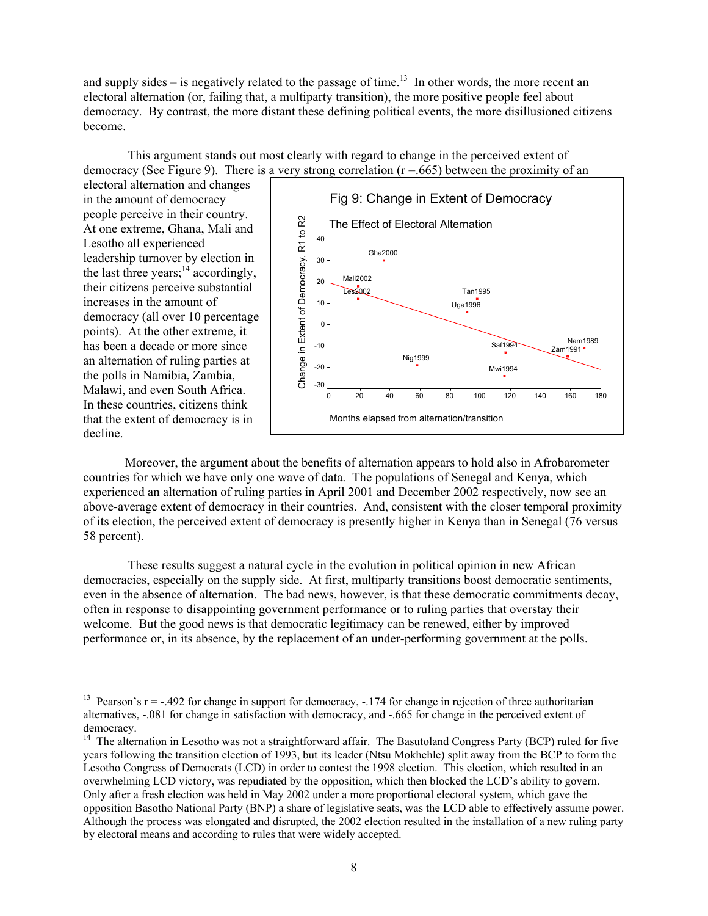and supply sides – is negatively related to the passage of time.<sup>13</sup> In other words, the more recent an electoral alternation (or, failing that, a multiparty transition), the more positive people feel about democracy. By contrast, the more distant these defining political events, the more disillusioned citizens become.

 This argument stands out most clearly with regard to change in the perceived extent of democracy (See Figure 9). There is a very strong correlation ( $r = .665$ ) between the proximity of an

electoral alternation and changes in the amount of democracy people perceive in their country. At one extreme, Ghana, Mali and Lesotho all experienced leadership turnover by election in the last three years; $14$  accordingly, their citizens perceive substantial increases in the amount of democracy (all over 10 percentage points). At the other extreme, it has been a decade or more since an alternation of ruling parties at the polls in Namibia, Zambia, Malawi, and even South Africa. In these countries, citizens think that the extent of democracy is in decline.



Moreover, the argument about the benefits of alternation appears to hold also in Afrobarometer countries for which we have only one wave of data. The populations of Senegal and Kenya, which experienced an alternation of ruling parties in April 2001 and December 2002 respectively, now see an above-average extent of democracy in their countries. And, consistent with the closer temporal proximity of its election, the perceived extent of democracy is presently higher in Kenya than in Senegal (76 versus 58 percent).

 These results suggest a natural cycle in the evolution in political opinion in new African democracies, especially on the supply side. At first, multiparty transitions boost democratic sentiments, even in the absence of alternation. The bad news, however, is that these democratic commitments decay, often in response to disappointing government performance or to ruling parties that overstay their welcome. But the good news is that democratic legitimacy can be renewed, either by improved performance or, in its absence, by the replacement of an under-performing government at the polls.

<span id="page-7-0"></span><sup>&</sup>lt;sup>13</sup> Pearson's  $r = -0.492$  for change in support for democracy,  $-0.174$  for change in rejection of three authoritarian alternatives, -.081 for change in satisfaction with democracy, and -.665 for change in the perceived extent of democracy.<br><sup>14</sup> The alternation in Lesotho was not a straightforward affair. The Basutoland Congress Party (BCP) ruled for five

<span id="page-7-1"></span>years following the transition election of 1993, but its leader (Ntsu Mokhehle) split away from the BCP to form the Lesotho Congress of Democrats (LCD) in order to contest the 1998 election. This election, which resulted in an overwhelming LCD victory, was repudiated by the opposition, which then blocked the LCD's ability to govern. Only after a fresh election was held in May 2002 under a more proportional electoral system, which gave the opposition Basotho National Party (BNP) a share of legislative seats, was the LCD able to effectively assume power. Although the process was elongated and disrupted, the 2002 election resulted in the installation of a new ruling party by electoral means and according to rules that were widely accepted.